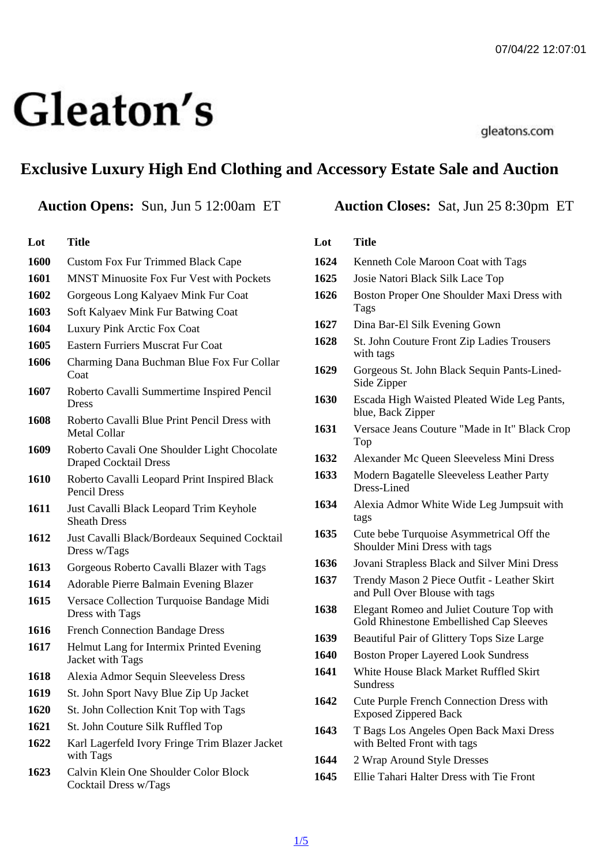# Exclusive Luxury High End Clothing and Accessory Estate Sale and Auction

## Auction Opens: Sun, Jun 5 12:00am ET Auction Closes: Sat, Jun 25 8:30pm ET

### Lot Title

- Custom Fox Fur Trimmed Black Cape
- MNST Minuosite Fox Fur Vest with Pockets
- Gorgeous Long Kalyaev Mink Fur Coat
- Soft Kalyaev Mink Fur Batwing Coat
- Luxury Pink Arctic Fox Coat
- Eastern Furriers Muscrat Fur Coat
- Charming Dana Buchman Blue Fox Fur Collar Coat
- Roberto Cavalli Summertime Inspired Pencil Dress
- Roberto Cavalli Blue Print Pencil Dress with Metal Collar
- Roberto Cavali One Shoulder Light Chocolate Draped Cocktail Dress
- Roberto Cavalli Leopard Print Inspired Black Pencil Dress
- Just Cavalli Black Leopard Trim Keyhole Sheath Dress
- Just Cavalli Black/Bordeaux Sequined Cocktail Dress w/Tags
- Gorgeous Roberto Cavalli Blazer with Tags
- Adorable Pierre Balmain Evening Blazer
- Versace Collection Turquoise Bandage Midi Dress with Tags
- French Connection Bandage Dress
- Helmut Lang for Intermix Printed Evening Jacket with Tags
- Alexia Admor Sequin Sleeveless Dress
- St. John Sport Navy Blue Zip Up Jacket
- St. John Collection Knit Top with Tags
- St. John Couture Silk Ruffled Top
- Karl Lagerfeld Ivory Fringe Trim Blazer Jacket with Tags
- Calvin Klein One Shoulder Color Block Cocktail Dress w/Tags

### Lot Title

- Kenneth Cole Maroon Coat with Tags
- Josie Natori Black Silk Lace Top
- Boston Proper One Shoulder Maxi Dress with Tags
- Dina Bar-El Silk Evening Gown
- St. John Couture Front Zip Ladies Trousers with tags
- Gorgeous St. John Black Sequin Pants-Lined-Side Zipper
- Escada High Waisted Pleated Wide Leg Pants, blue, Back Zipper
- Versace Jeans Couture "Made in It" Black Crop Top
- Alexander Mc Queen Sleeveless Mini Dress
- Modern Bagatelle Sleeveless Leather Party Dress-Lined
- Alexia Admor White Wide Leg Jumpsuit with tags
- Cute bebe Turquoise Asymmetrical Off the Shoulder Mini Dress with tags
- Jovani Strapless Black and Silver Mini Dress
- Trendy Mason 2 Piece Outfit Leather Skirt and Pull Over Blouse with tags
- Elegant Romeo and Juliet Couture Top with Gold Rhinestone Embellished Cap Sleeves
- Beautiful Pair of Glittery Tops Size Large
- Boston Proper Layered Look Sundress
- White House Black Market Ruffled Skirt **Sundress**
- Cute Purple French Connection Dress with Exposed Zippered Back
- T Bags Los Angeles Open Back Maxi Dress with Belted Front with tags
- 2 Wrap Around Style Dresses
- Ellie Tahari Halter Dress with Tie Front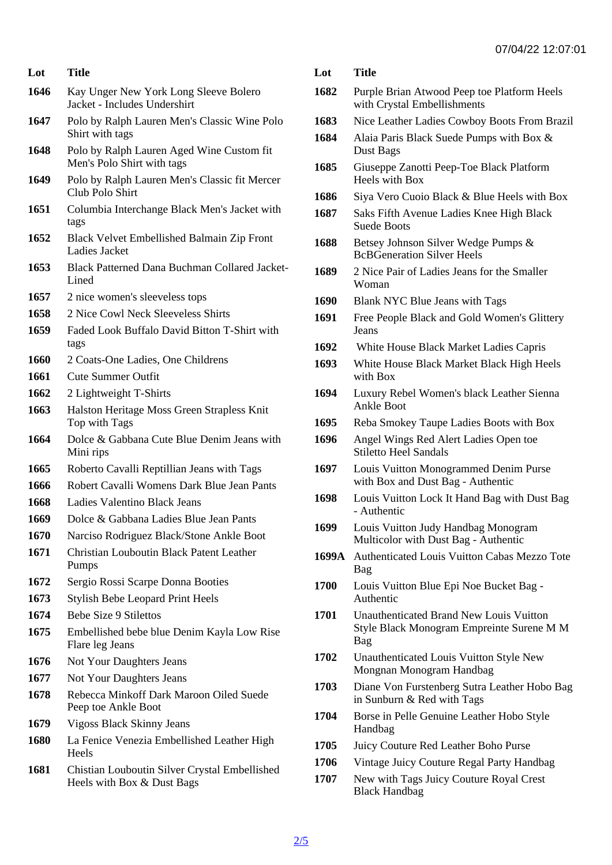| Lot          | Title                                                                       | Lot  | Title                                                                      |
|--------------|-----------------------------------------------------------------------------|------|----------------------------------------------------------------------------|
| 1646         | Kay Unger New York Long Sleeve Bolero<br>Jacket - Includes Undershirt       | 1682 | Purple Brian Atwood Peep toe Platform Heels<br>with Crystal Embellishments |
| 1647         | Polo by Ralph Lauren Men's Classic Wine Polo                                | 1683 | Nice Leather Ladies Cowboy Boots From Brazil                               |
| 1648         | Shirt with tags<br>Polo by Ralph Lauren Aged Wine Custom fit                | 1684 | Alaia Paris Black Suede Pumps with Box &<br>Dust Bags                      |
| 1649         | Men's Polo Shirt with tags<br>Polo by Ralph Lauren Men's Classic fit Mercer | 1685 | Giuseppe Zanotti Peep-Toe Black Platform<br>Heels with Box                 |
|              | Club Polo Shirt                                                             | 1686 | Siya Vero Cuoio Black & Blue Heels with Box                                |
| 1651         | Columbia Interchange Black Men's Jacket with<br>tags                        | 1687 | Saks Fifth Avenue Ladies Knee High Black<br><b>Suede Boots</b>             |
| 1652         | <b>Black Velvet Embellished Balmain Zip Front</b><br>Ladies Jacket          | 1688 | Betsey Johnson Silver Wedge Pumps &<br><b>BcBGeneration Silver Heels</b>   |
| 1653         | Black Patterned Dana Buchman Collared Jacket-1689<br>Lined                  |      | 2 Nice Pair of Ladies Jeans for the Smaller<br>Woman                       |
| 1657         | 2 nice women's sleeveless tops                                              | 1690 | Blank NYC Blue Jeans with Tags                                             |
| 1658         | 2 Nice Cowl Neck Sleeveless Shirts                                          | 1691 | Free People Black and Gold Women's Glittery                                |
| 1659         | Faded Look Buffalo David Bitton T-Shirt with                                |      | Jeans                                                                      |
|              | tags                                                                        | 1692 | White House Black Market Ladies Capris                                     |
| 1660<br>1661 | 2 Coats-One Ladies, One Childrens<br><b>Cute Summer Outfit</b>              | 1693 | White House Black Market Black High Heels<br>with Box                      |
| 1662         | 2 Lightweight T-Shirts                                                      | 1694 | Luxury Rebel Women's black Leather Sienna                                  |
| 1663         | Halston Heritage Moss Green Strapless Knit                                  |      | <b>Ankle Boot</b>                                                          |
|              | Top with Tags                                                               | 1695 | Reba Smokey Taupe Ladies Boots with Box                                    |
| 1664         | Dolce & Gabbana Cute Blue Denim Jeans with<br>Mini rips                     | 1696 | Angel Wings Red Alert Ladies Open toe<br><b>Stiletto Heel Sandals</b>      |
| 1665         | Roberto Cavalli Reptillian Jeans with Tags                                  | 1697 | Louis Vuitton Monogrammed Denim Purse                                      |
| 1666         | Robert Cavalli Womens Dark Blue Jean Pants                                  |      | with Box and Dust Bag - Authentic                                          |
| 1668         | Ladies Valentino Black Jeans                                                | 1698 | Louis Vuitton Lock It Hand Bag with Dust Bag<br>- Authentic                |
| 1669         | Dolce & Gabbana Ladies Blue Jean Pants                                      | 1699 | Louis Vuitton Judy Handbag Monogram                                        |
| 1670         | Narciso Rodriguez Black/Stone Ankle Boot                                    |      | Multicolor with Dust Bag - Authentic                                       |
| 1671         | <b>Christian Louboutin Black Patent Leather</b><br>Pumps                    |      | 1699A Authenticated Louis Vuitton Cabas Mezzo Tote<br>Bag                  |
| 1672         | Sergio Rossi Scarpe Donna Booties                                           | 1700 | Louis Vuitton Blue Epi Noe Bucket Bag -                                    |
| 1673         | <b>Stylish Bebe Leopard Print Heels</b>                                     |      | Authentic                                                                  |
| 1674         | <b>Bebe Size 9 Stilettos</b>                                                | 1701 | Unauthenticated Brand New Louis Vuitton                                    |
| 1675         | Embellished bebe blue Denim Kayla Low Rise<br>Flare leg Jeans               |      | Style Black Monogram Empreinte Surene M M<br>Bag                           |
| 1676         | Not Your Daughters Jeans                                                    | 1702 | Unauthenticated Louis Vuitton Style New<br>Mongnan Monogram Handbag        |
| 1677         | Not Your Daughters Jeans                                                    | 1703 | Diane Von Furstenberg Sutra Leather Hobo Bag                               |
| 1678         | Rebecca Minkoff Dark Maroon Oiled Suede<br>Peep toe Ankle Boot              |      | in Sunburn & Red with Tags                                                 |
| 1679         | Vigoss Black Skinny Jeans                                                   | 1704 | Borse in Pelle Genuine Leather Hobo Style<br>Handbag                       |
| 1680         | La Fenice Venezia Embellished Leather High                                  | 1705 | Juicy Couture Red Leather Boho Purse                                       |
|              | <b>Heels</b>                                                                | 1706 | Vintage Juicy Couture Regal Party Handbag                                  |
| 1681         | Chistian Louboutin Silver Crystal Embellished<br>Heels with Box & Dust Bags | 1707 | New with Tags Juicy Couture Royal Crest<br><b>Black Handbag</b>            |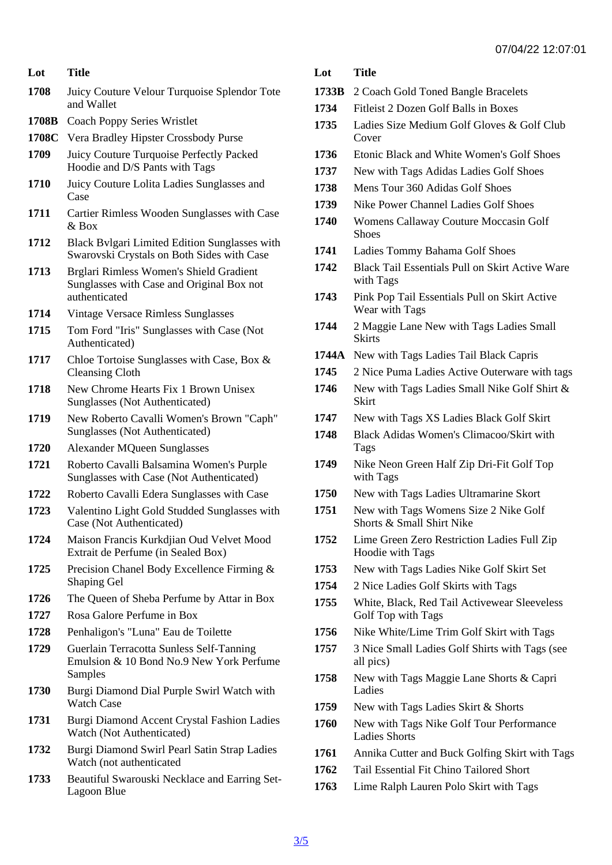- Lot Title
- 1708 Juicy Couture Velour Turquoise Splendor Tote and Wallet
- 1708B Coach Poppy Series Wristlet
- 1708C Vera Bradley Hipster Crossbody Purse
- 1709 Juicy Couture Turquoise Perfectly Packed Hoodie and D/S Pants with Tags
- 1710 Juicy Couture Lolita Ladies Sunglasses and Case
- 1711 Cartier Rimless Wooden Sunglasses with Case & Box
- 1712 Black Bvlgari Limited Edition Sunglasses with Swarovski Crystals on Both Sides with Case
- 1713 Brglari Rimless Women's Shield Gradient Sunglasses with Case and Original Box not authenticated
- 1714 Vintage Versace Rimless Sunglasses
- 1715 Tom Ford "Iris" Sunglasses with Case (Not Authenticated)
- 1717 Chloe Tortoise Sunglasses with Case, Box & Cleansing Cloth
- 1718 New Chrome Hearts Fix 1 Brown Unisex Sunglasses (Not Authenticated)
- 1719 New Roberto Cavalli Women's Brown "Caph" Sunglasses (Not Authenticated)
- 1720 Alexander MQueen Sunglasses
- 1721 Roberto Cavalli Balsamina Women's Purple Sunglasses with Case (Not Authenticated)
- 1722 Roberto Cavalli Edera Sunglasses with Case
- 1723 Valentino Light Gold Studded Sunglasses with Case (Not Authenticated)
- 1724 Maison Francis Kurkdjian Oud Velvet Mood Extrait de Perfume (in Sealed Box)
- 1725 Precision Chanel Body Excellence Firming & Shaping Gel
- 1726 The Queen of Sheba Perfume by Attar in Box
- 1727 Rosa Galore Perfume in Box
- 1728 Penhaligon's "Luna" Eau de Toilette
- 1729 Guerlain Terracotta Sunless Self-Tanning Emulsion & 10 Bond No.9 New York Perfume **Samples**
- 1730 Burgi Diamond Dial Purple Swirl Watch with Watch Case
- 1731 Burgi Diamond Accent Crystal Fashion Ladies Watch (Not Authenticated)
- 1732 Burgi Diamond Swirl Pearl Satin Strap Ladies Watch (not authenticated
- 1733 Beautiful Swarouski Necklace and Earring Set-Lagoon Blue

Lot Title

- 1733B 2 Coach Gold Toned Bangle Bracelets
- 1734 Fitleist 2 Dozen Golf Balls in Boxes
- 1735 Ladies Size Medium Golf Gloves & Golf Club Cover
- 1736 Etonic Black and White Women's Golf Shoes
- 1737 New with Tags Adidas Ladies Golf Shoes
- 1738 Mens Tour 360 Adidas Golf Shoes
- 1739 Nike Power Channel Ladies Golf Shoes
- 1740 Womens Callaway Couture Moccasin Golf **Shoes**
- 1741 Ladies Tommy Bahama Golf Shoes
- 1742 Black Tail Essentials Pull on Skirt Active Ware with Tags
- 1743 Pink Pop Tail Essentials Pull on Skirt Active Wear with Tags
- 1744 2 Maggie Lane New with Tags Ladies Small **Skirts**
- 1744A New with Tags Ladies Tail Black Capris
- 1745 2 Nice Puma Ladies Active Outerware with tags
- 1746 New with Tags Ladies Small Nike Golf Shirt & **Skirt**
- 1747 New with Tags XS Ladies Black Golf Skirt
- 1748 Black Adidas Women's Climacoo/Skirt with Tags
- 1749 Nike Neon Green Half Zip Dri-Fit Golf Top with Tags
- 1750 New with Tags Ladies Ultramarine Skort
- 1751 New with Tags Womens Size 2 Nike Golf Shorts & Small Shirt Nike
- 1752 Lime Green Zero Restriction Ladies Full Zip Hoodie with Tags
- 1753 New with Tags Ladies Nike Golf Skirt Set
- 1754 2 Nice Ladies Golf Skirts with Tags
- 1755 White, Black, Red Tail Activewear Sleeveless Golf Top with Tags
- 1756 Nike White/Lime Trim Golf Skirt with Tags
- 1757 3 Nice Small Ladies Golf Shirts with Tags (see all pics)
- 1758 New with Tags Maggie Lane Shorts & Capri Ladies
- 1759 New with Tags Ladies Skirt & Shorts
- 1760 New with Tags Nike Golf Tour Performance Ladies Shorts
- 1761 Annika Cutter and Buck Golfing Skirt with Tags
- 1762 Tail Essential Fit Chino Tailored Short
- 1763 Lime Ralph Lauren Polo Skirt with Tags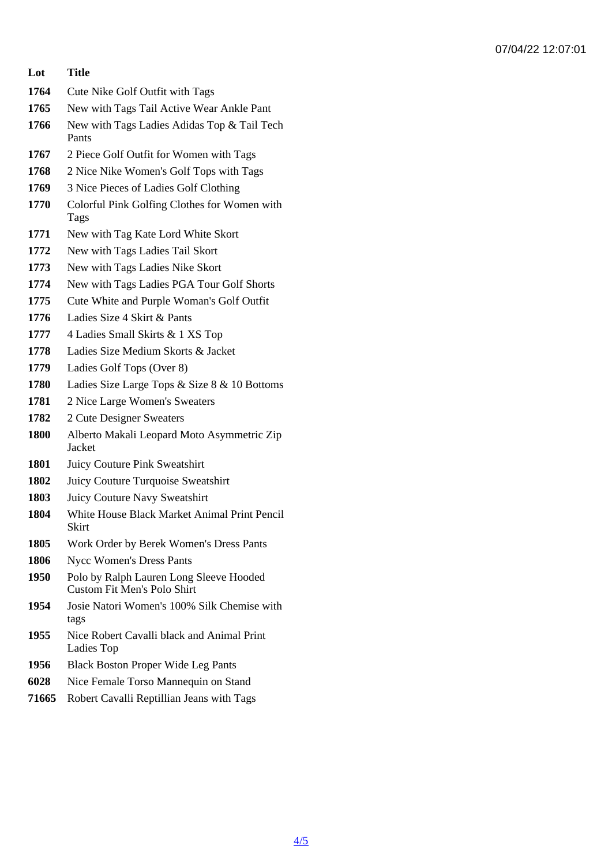07/04/22 12:07:01

- Lot Title
- Cute Nike Golf Outfit with Tags
- New with Tags Tail Active Wear Ankle Pant
- New with Tags Ladies Adidas Top & Tail Tech Pants
- 2 Piece Golf Outfit for Women with Tags
- 2 Nice Nike Women's Golf Tops with Tags
- 3 Nice Pieces of Ladies Golf Clothing
- Colorful Pink Golfing Clothes for Women with Tags
- New with Tag Kate Lord White Skort
- 1772 New with Tags Ladies Tail Skort
- New with Tags Ladies Nike Skort
- New with Tags Ladies PGA Tour Golf Shorts
- Cute White and Purple Woman's Golf Outfit
- Ladies Size 4 Skirt & Pants
- 4 Ladies Small Skirts & 1 XS Top
- Ladies Size Medium Skorts & Jacket
- Ladies Golf Tops (Over 8)
- Ladies Size Large Tops & Size 8 & 10 Bottoms
- 2 Nice Large Women's Sweaters
- 2 Cute Designer Sweaters
- Alberto Makali Leopard Moto Asymmetric Zip Jacket
- Juicy Couture Pink Sweatshirt
- Juicy Couture Turquoise Sweatshirt
- Juicy Couture Navy Sweatshirt
- White House Black Market Animal Print Pencil **Skirt**
- Work Order by Berek Women's Dress Pants
- Nycc Women's Dress Pants
- Polo by Ralph Lauren Long Sleeve Hooded Custom Fit Men's Polo Shirt
- Josie Natori Women's 100% Silk Chemise with tags
- Nice Robert Cavalli black and Animal Print Ladies Top
- Black Boston Proper Wide Leg Pants
- Nice Female Torso Mannequin on Stand
- Robert Cavalli Reptillian Jeans with Tags